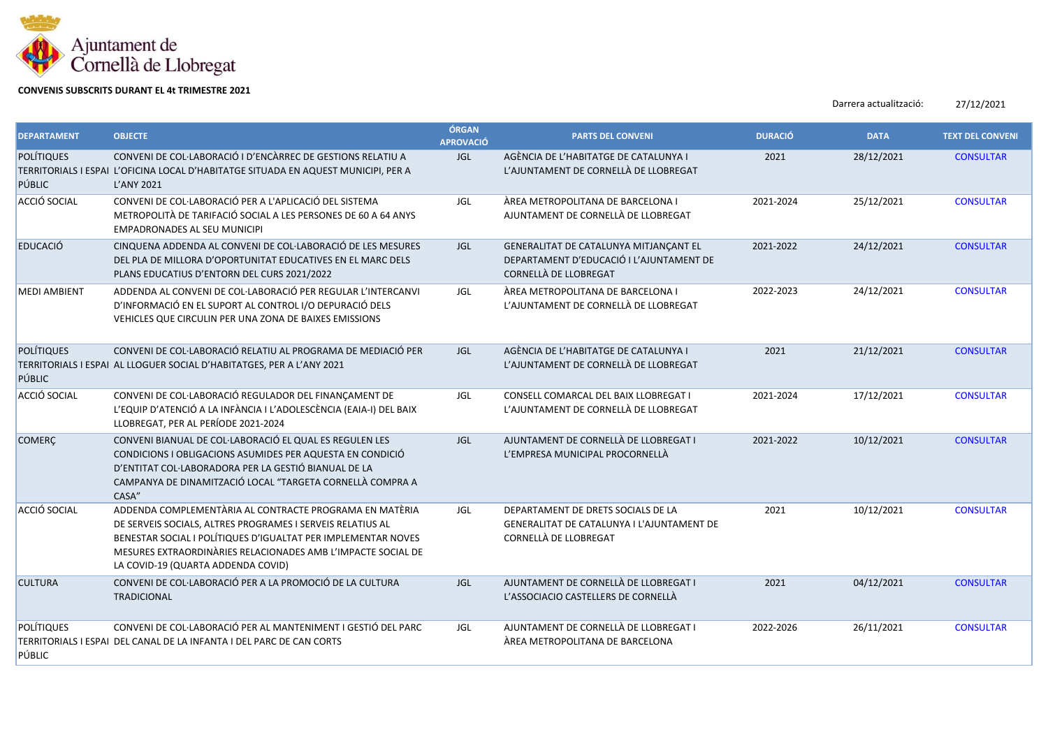

## **CONVENIS SUBSCRITS DURANT EL 4t TRIMESTRE 2021**

Darrera actualització: 27/12/2021

| <b>DEPARTAMENT</b>          | <b>OBJECTE</b>                                                                                                                                                                                                                                                                               | ÓRGAN<br><b>APROVACIÓ</b> | <b>PARTS DEL CONVENI</b>                                                                                    | <b>DURACIÓ</b> | <b>DATA</b> | <b>TEXT DEL CONVENI</b> |
|-----------------------------|----------------------------------------------------------------------------------------------------------------------------------------------------------------------------------------------------------------------------------------------------------------------------------------------|---------------------------|-------------------------------------------------------------------------------------------------------------|----------------|-------------|-------------------------|
| <b>POLÍTIQUES</b><br>PÚBLIC | CONVENI DE COL·LABORACIÓ I D'ENCÀRREC DE GESTIONS RELATIU A<br>TERRITORIALS I ESPAI L'OFICINA LOCAL D'HABITATGE SITUADA EN AQUEST MUNICIPI, PER A<br>L'ANY 2021                                                                                                                              | <b>JGL</b>                | AGÈNCIA DE L'HABITATGE DE CATALUNYA I<br>L'AJUNTAMENT DE CORNELLÀ DE LLOBREGAT                              | 2021           | 28/12/2021  | <b>CONSULTAR</b>        |
| ACCIÓ SOCIAL                | CONVENI DE COL·LABORACIÓ PER A L'APLICACIÓ DEL SISTEMA<br>METROPOLITÀ DE TARIFACIÓ SOCIAL A LES PERSONES DE 60 A 64 ANYS<br><b>EMPADRONADES AL SEU MUNICIPI</b>                                                                                                                              | <b>JGL</b>                | ÀREA METROPOLITANA DE BARCELONA I<br>AJUNTAMENT DE CORNELLÀ DE LLOBREGAT                                    | 2021-2024      | 25/12/2021  | <b>CONSULTAR</b>        |
| <b>EDUCACIÓ</b>             | CINQUENA ADDENDA AL CONVENI DE COL·LABORACIÓ DE LES MESURES<br>DEL PLA DE MILLORA D'OPORTUNITAT EDUCATIVES EN EL MARC DELS<br>PLANS EDUCATIUS D'ENTORN DEL CURS 2021/2022                                                                                                                    | <b>JGL</b>                | GENERALITAT DE CATALUNYA MITJANÇANT EL<br>DEPARTAMENT D'EDUCACIÓ I L'AJUNTAMENT DE<br>CORNELLÀ DE LLOBREGAT | 2021-2022      | 24/12/2021  | <b>CONSULTAR</b>        |
| <b>MEDI AMBIENT</b>         | ADDENDA AL CONVENI DE COL·LABORACIÓ PER REGULAR L'INTERCANVI<br>D'INFORMACIÓ EN EL SUPORT AL CONTROL I/O DEPURACIÓ DELS<br>VEHICLES QUE CIRCULIN PER UNA ZONA DE BAIXES EMISSIONS                                                                                                            | JGL                       | ÀREA METROPOLITANA DE BARCELONA I<br>L'AJUNTAMENT DE CORNELLÀ DE LLOBREGAT                                  | 2022-2023      | 24/12/2021  | <b>CONSULTAR</b>        |
| <b>POLÍTIQUES</b><br>PÚBLIC | CONVENI DE COL·LABORACIÓ RELATIU AL PROGRAMA DE MEDIACIÓ PER<br>TERRITORIALS I ESPAI AL LLOGUER SOCIAL D'HABITATGES, PER A L'ANY 2021                                                                                                                                                        | JGL                       | AGÈNCIA DE L'HABITATGE DE CATALUNYA I<br>L'AJUNTAMENT DE CORNELLÀ DE LLOBREGAT                              | 2021           | 21/12/2021  | <b>CONSULTAR</b>        |
| ACCIÓ SOCIAL                | CONVENI DE COL·LABORACIÓ REGULADOR DEL FINANÇAMENT DE<br>L'EQUIP D'ATENCIÓ A LA INFÀNCIA I L'ADOLESCÈNCIA (EAIA-I) DEL BAIX<br>LLOBREGAT, PER AL PERÍODE 2021-2024                                                                                                                           | JGL                       | CONSELL COMARCAL DEL BAIX LLOBREGAT I<br>L'AJUNTAMENT DE CORNELLÀ DE LLOBREGAT                              | 2021-2024      | 17/12/2021  | <b>CONSULTAR</b>        |
| <b>COMERÇ</b>               | CONVENI BIANUAL DE COL·LABORACIÓ EL QUAL ES REGULEN LES<br>CONDICIONS I OBLIGACIONS ASUMIDES PER AQUESTA EN CONDICIÓ<br>D'ENTITAT COL·LABORADORA PER LA GESTIÓ BIANUAL DE LA<br>CAMPANYA DE DINAMITZACIÓ LOCAL "TARGETA CORNELLÀ COMPRA A<br>CASA"                                           | <b>JGL</b>                | AJUNTAMENT DE CORNELLÀ DE LLOBREGAT I<br>L'EMPRESA MUNICIPAL PROCORNELLÀ                                    | 2021-2022      | 10/12/2021  | <b>CONSULTAR</b>        |
| ACCIÓ SOCIAL                | ADDENDA COMPLEMENTÀRIA AL CONTRACTE PROGRAMA EN MATÈRIA<br>DE SERVEIS SOCIALS, ALTRES PROGRAMES I SERVEIS RELATIUS AL<br>BENESTAR SOCIAL I POLÍTIQUES D'IGUALTAT PER IMPLEMENTAR NOVES<br>MESURES EXTRAORDINARIES RELACIONADES AMB L'IMPACTE SOCIAL DE<br>LA COVID-19 (QUARTA ADDENDA COVID) | JGL                       | DEPARTAMENT DE DRETS SOCIALS DE LA<br>GENERALITAT DE CATALUNYA I L'AJUNTAMENT DE<br>CORNELLÀ DE LLOBREGAT   | 2021           | 10/12/2021  | <b>CONSULTAR</b>        |
| <b>CULTURA</b>              | CONVENI DE COL·LABORACIÓ PER A LA PROMOCIÓ DE LA CULTURA<br><b>TRADICIONAL</b>                                                                                                                                                                                                               | <b>JGL</b>                | AJUNTAMENT DE CORNELLÀ DE LLOBREGAT I<br>L'ASSOCIACIO CASTELLERS DE CORNELLÀ                                | 2021           | 04/12/2021  | <b>CONSULTAR</b>        |
| POLÍTIQUES<br>PÚBLIC        | CONVENI DE COL·LABORACIÓ PER AL MANTENIMENT I GESTIÓ DEL PARC<br>TERRITORIALS I ESPAI DEL CANAL DE LA INFANTA I DEL PARC DE CAN CORTS                                                                                                                                                        | JGL                       | AJUNTAMENT DE CORNELLÀ DE LLOBREGAT I<br>ÀREA METROPOLITANA DE BARCELONA                                    | 2022-2026      | 26/11/2021  | <b>CONSULTAR</b>        |